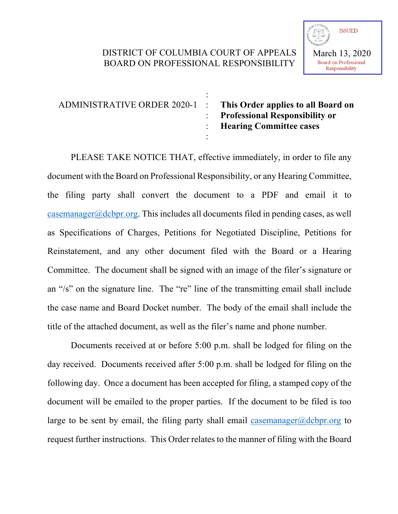## DISTRICT OF COLUMBIA COURT OF APPEALS BOARD ON PROFESSIONAL RESPONSIBILITY

| ADMINISTRATIVE ORDER 2020-1 : | This Order applies to all Board on<br>: Professional Responsibility or<br>: Hearing Committee cases |
|-------------------------------|-----------------------------------------------------------------------------------------------------|
|                               |                                                                                                     |

PLEASE TAKE NOTICE THAT, effective immediately, in order to file any document with the Board on Professional Responsibility, or any Hearing Committee, the filing party shall convert the document to a PDF and email it to casemanager@dcbpr.org. This includes all documents filed in pending cases, as well as Specifications of Charges, Petitions for Negotiated Discipline, Petitions for Reinstatement, and any other document filed with the Board or a Hearing Committee. The document shall be signed with an image of the filer's signature or an "/s" on the signature line. The "re" line of the transmitting email shall include the case name and Board Docket number. The body of the email shall include the title of the attached document, as well as the filer's name and phone number.

Documents received at or before 5:00 p.m. shall be lodged for filing on the day received. Documents received after 5:00 p.m. shall be lodged for filing on the following day. Once a document has been accepted for filing, a stamped copy of the document will be emailed to the proper parties. If the document to be filed is too large to be sent by email, the filing party shall email casemanager@dcbpr.org to request further instructions. This Order relates to the manner of filing with the Board